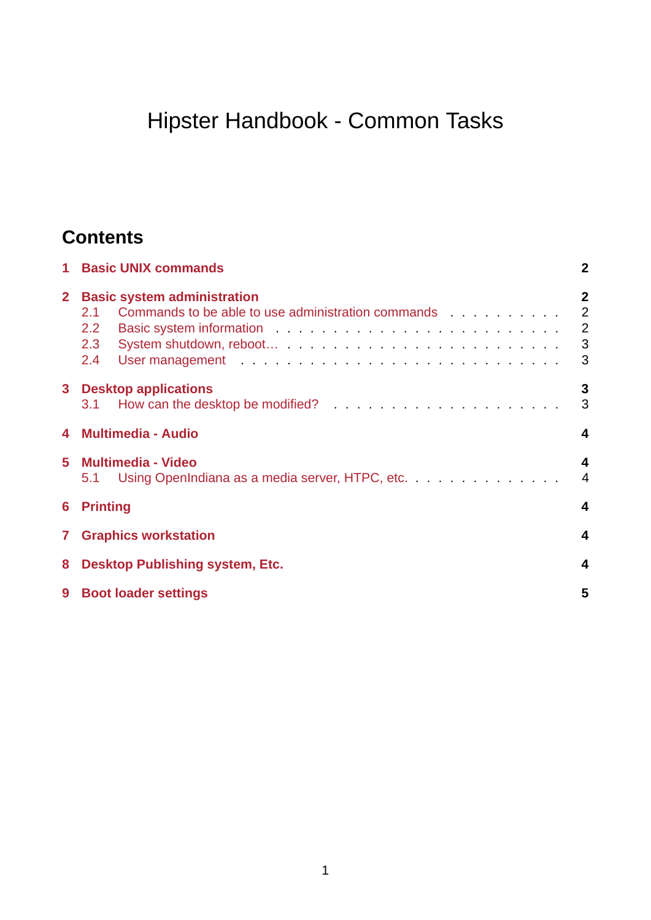# Hipster Handbook - Common Tasks

# **Contents**

| $\mathbf{1}$   | <b>Basic UNIX commands</b><br>$\mathbf{2}$                                                                                                                                                                                                                                                                                                                       |                                                           |  |  |
|----------------|------------------------------------------------------------------------------------------------------------------------------------------------------------------------------------------------------------------------------------------------------------------------------------------------------------------------------------------------------------------|-----------------------------------------------------------|--|--|
| 2 <sup>2</sup> | <b>Basic system administration</b><br>Commands to be able to use administration commands<br>2.1<br>$2.2^{\circ}$<br>2.3<br>2.4<br>User management entertainment and the contract of the contract of the contract of the contract of the contract of the contract of the contract of the contract of the contract of the contract of the contract of the contract | $\overline{2}$<br>2<br>$\overline{\phantom{0}}$<br>3<br>3 |  |  |
|                | 3 Desktop applications                                                                                                                                                                                                                                                                                                                                           | 3<br>3                                                    |  |  |
|                | 4 Multimedia - Audio                                                                                                                                                                                                                                                                                                                                             |                                                           |  |  |
| 5              | <b>Multimedia - Video</b><br>Using OpenIndiana as a media server, HTPC, etc.<br>5.1                                                                                                                                                                                                                                                                              | 4<br>$\overline{4}$                                       |  |  |
| 6              | <b>Printing</b><br>4                                                                                                                                                                                                                                                                                                                                             |                                                           |  |  |
| $\mathbf{7}$   | <b>Graphics workstation</b><br>4                                                                                                                                                                                                                                                                                                                                 |                                                           |  |  |
| 8              | <b>Desktop Publishing system, Etc.</b>                                                                                                                                                                                                                                                                                                                           |                                                           |  |  |
|                | 9 Boot loader settings                                                                                                                                                                                                                                                                                                                                           |                                                           |  |  |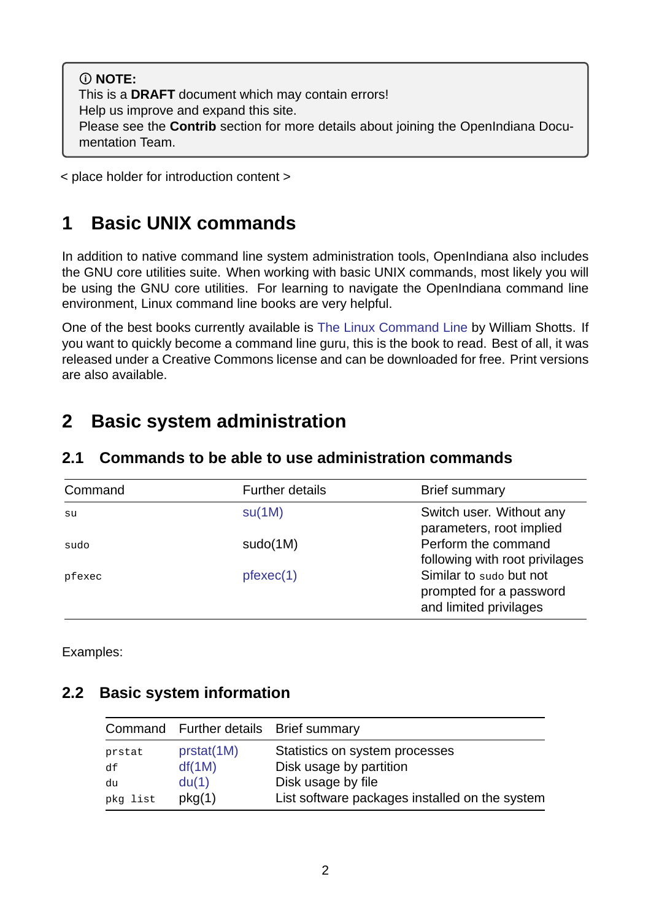**NOTE:** This is a **DRAFT** document which may contain errors! Help us improve and expand this site. Please see the **Contrib** section for more details about joining the OpenIndiana Documentation Team.

< place holder for introduction content >

# **1 Basic UNIX commands**

<span id="page-1-0"></span>In addition to native command line system administration tools, OpenIndiana also includes the GNU core utilities suite. When working with basic UNIX commands, most likely you will be using the GNU core utilities. For learning to navigate the OpenIndiana command line environment, Linux command line books are very helpful.

One of the best books currently available is The Linux Command Line by William Shotts. If you want to quickly become a command line guru, this is the book to read. Best of all, it was released under a Creative Commons license and can be downloaded for free. Print versions are also available.

## **2 Basic system administration**

<span id="page-1-2"></span>

| Command | <b>Further details</b> | <b>Brief summary</b>                                                         |
|---------|------------------------|------------------------------------------------------------------------------|
| su      | SU(1M)                 | Switch user. Without any<br>parameters, root implied                         |
| sudo    | sudo(1M)               | Perform the command<br>following with root privilages                        |
| pfexec  | $p$ fexec $(1)$        | Similar to sudo but not<br>prompted for a password<br>and limited privilages |

#### <span id="page-1-1"></span>**2.1 Commands to be able to use administration commands**

Examples:

### **2.2 Basic system information**

<span id="page-1-3"></span>

|          | Command Further details Brief summary |                                                |
|----------|---------------------------------------|------------------------------------------------|
| prstat   | prstat(1M)                            | Statistics on system processes                 |
| df       | df(1M)                                | Disk usage by partition                        |
| du       | du(1)                                 | Disk usage by file                             |
| pkg list | pkg(1)                                | List software packages installed on the system |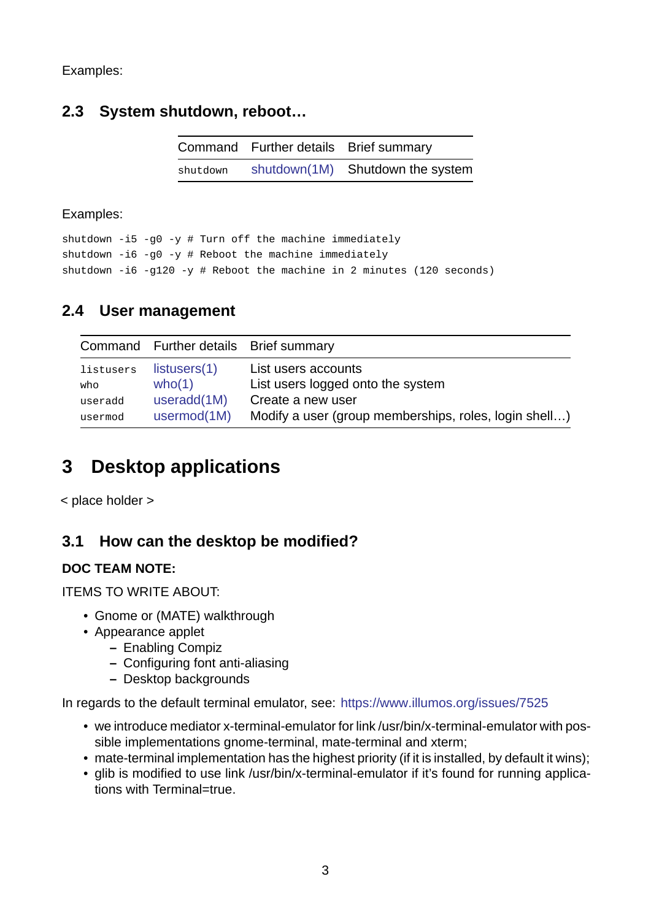Examples:

### <span id="page-2-0"></span>**2.3 System shutdown, reboot…**

|          | Command Further details Brief summary |                                  |
|----------|---------------------------------------|----------------------------------|
| shutdown |                                       | shutdown(1M) Shutdown the system |

Examples:

shutdown  $-i5 - g0 -y$  # Turn off the machine immediately shutdown  $-i6 - q0 -y$  # Reboot the machine immediately shutdown  $-i6 -g120 -y$  # Reboot the machine in 2 minutes (120 seconds)

### **2.4 User management**

<span id="page-2-1"></span>

|           | Command Further details Brief summary |                                                       |
|-----------|---------------------------------------|-------------------------------------------------------|
| listusers | listusers(1)                          | List users accounts                                   |
| who       | who(1)                                | List users logged onto the system                     |
| useradd   | useradd(1M)                           | Create a new user                                     |
| usermod   | usermod(1M)                           | Modify a user (group memberships, roles, login shell) |

# **3 Deskt[op applica](https://illumos.org/man/1M/usermod)tions**

<span id="page-2-2"></span>< place holder >

### **3.1 How can the desktop be modified?**

#### **DOC TEAM NOTE:**

<span id="page-2-3"></span>ITEMS TO WRITE ABOUT:

- Gnome or (MATE) walkthrough
- Appearance applet
	- **–** Enabling Compiz
	- **–** Configuring font anti-aliasing
	- **–** Desktop backgrounds

In regards to the default terminal emulator, see: https://www.illumos.org/issues/7525

- we introduce mediator x-terminal-emulator for link /usr/bin/x-terminal-emulator with possible implementations gnome-terminal, mate-terminal and xterm;
- $\bullet$  mate-terminal implementation has the high[est priority \(if it is installed, by default i](https://www.illumos.org/issues/7525)t wins);
- glib is modified to use link /usr/bin/x-terminal-emulator if it's found for running applications with Terminal=true.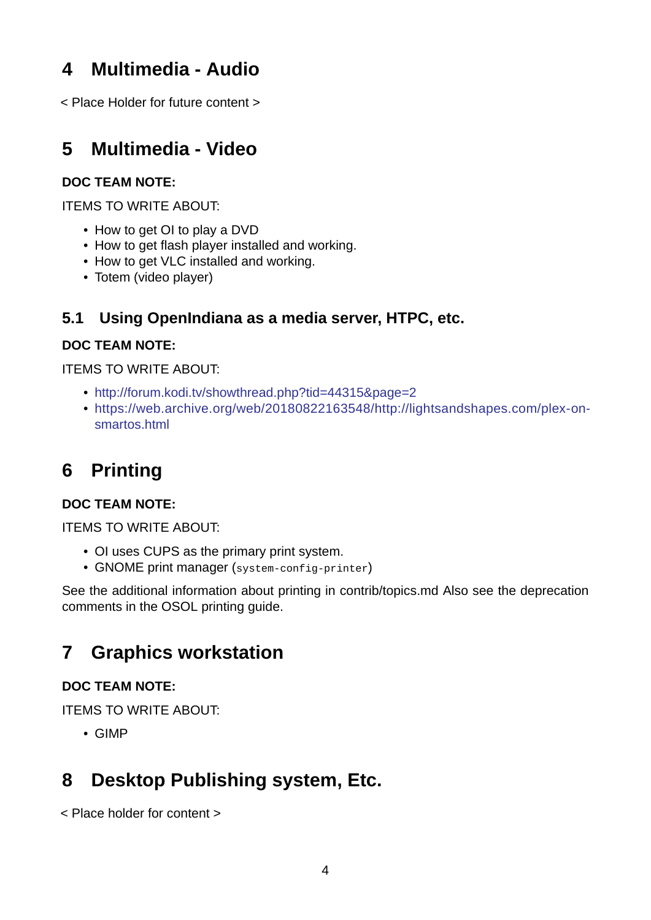# **4 Multimedia Audio**

<span id="page-3-0"></span>< Place Holder for future content >

### **5 Multimedia Video**

#### <span id="page-3-1"></span>**DOC TEAM NOTE:**

ITEMS TO WRITE ABOUT:

- How to get OI to play a DVD
- How to get flash player installed and working.
- How to get VLC installed and working.
- Totem (video player)

### **5.1 Using OpenIndiana as a media server, HTPC, etc.**

#### **DOC TEAM NOTE:**

<span id="page-3-2"></span>ITEMS TO WRITE ABOUT:

- http://forum.kodi.tv/showthread.php?tid=44315&page=2
- https://web.archive.org/web/20180822163548/http://lightsandshapes.com/plex-onsmartos.html

## **6 [Printing](https://web.archive.org/web/20180822163548/http://lightsandshapes.com/plex-on-smartos.html)**

#### <span id="page-3-3"></span>**DOC TEAM NOTE:**

ITEMS TO WRITE ABOUT:

- OI uses CUPS as the primary print system.
- GNOME print manager (system-config-printer)

See the additional information about printing in contrib/topics.md Also see the deprecation comments in the OSOL printing guide.

# **7 Graphics workstation**

#### <span id="page-3-4"></span>**DOC TEAM NOTE:**

ITEMS TO WRITE ABOUT:

• GIMP

# **8 Desktop Publishing system, Etc.**

< Place holder for content >